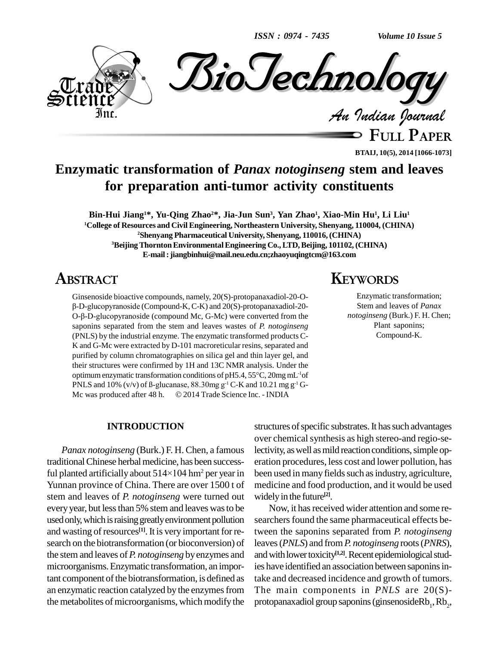*ISSN : 0974 - 7435*

*Volume 10 Issue 5*



**FULL PAPER**

**BTAIJ, 10(5), 2014 [1066-1073]**

# **Enzymatic transformation of** *Panax notoginseng* **stem and leaves for preparation anti-tumor activity constituents**

Bin-Hui Jiang<sup>1\*</sup>, Yu-Qing Zhao<sup>2\*</sup>, Jia-Jun Sun<sup>3</sup>, Yan Zhao<sup>1</sup>, Xiao-Min Hu<sup>1</sup>, Li Liu<sup>1</sup> **<sup>1</sup>College of Resources and Civil Engineering, Northeastern University, Shenyang, 110004, (CHINA) <sup>2</sup>Shenyang Pharmaceutical University, Shenyang, 110016,(CHINA) <sup>3</sup>BeijingThorntonEnvironmentalEngineering Co.,LTD,Beijing, 101102, (CHINA) E-mail:jiangbinhui@mail.neu.edu.cn;zhaoyuqingtcm@163.com**

# **ABSTRACT**

Ginsenoside bioactive compounds, namely,  $20(S)$ -protopanaxadiol-20-O- (Compound-K,C-K) and 20(S)-protopanaxadiol-20- Ginsenoside bioactive compounds, namely, 20(S)-protopanaxadiol-20-O-<br>β-D-glucopyranoside (Compound-K, C-K) and 20(S)-protopanaxadiol-20-<br>O-β-D-glucopyranoside (compound Mc, G-Mc) were converted from the saponins separated from the stem and leaves wastes of *P. notoginseng* (PNLS) by the industrial enzyme. The enzymatic transformed products C- K andG-Mc were extracted by D-101 macroreticular resins, separated and purified by column chromatographies on silica gel and thin layer gel, and their structures were confirmed by 1H and13C NMR analysis. Under the purified by column chromatographies on silica gel and thin layer gel, and<br>their structures were confirmed by 1H and 13C NMR analysis. Under the<br>optimum enzymatic transformation conditions of pH5.4, 55°C, 20mg mL<sup>-1</sup>of optimum enzymatic transformation conditions of pH5.4, 55°C, 20mg mL<sup>-1</sup>of their structures were confirmed by 1H and 13C NMR analysis. Under the optimum enzymatic transformation conditions of pH5.4, 55 °C, 20mg mL<sup>-1</sup>of PNLS and 10% (v/v) of  $\beta$ -glucanase, 88.30mg g<sup>-1</sup> C-K and 10.21 mg g<sup>-1</sup> G optimum enzymatic transformation conditions of pH5.4, 55°C, 20mg mL<sup>-1</sup>of<br>PNLS and 10% (v/v) of ß-glucanase, 88.30mg g<sup>-1</sup> C-K and 10.21 mg g<sup>-1</sup> G-<br>Mc was produced after 48 h.  $\quad \textcircled$  2014 Trade Science Inc. - INDIA

#### **INTRODUCTION**

*Panax notoginseng* (Burk.) F. H. Chen, a famous traditional Chinese herbal medicine, has been success-*Panax notoginseng* (Burk.) F. H. Chen, a famous lectivit traditional Chinese herbal medicine, has been success-<br>ful planted artificially about 514×104 hm<sup>2</sup> per year in been us Yunnan province of China. There are over 1500 t of stem and leaves of *P. notoginseng* were turned out everyyear, but lessthan 5% stem and leaves wasto be used only, which is raising greatly environment pollution and wasting of resources<sup>[1]</sup>. It is very important for re- twe search on the biotransformation (or bioconversion) of the stem and leaves of *P. notoginseng* byenzymes and microorganisms.Enzymatic transformation, an important component of the biotransformation, is defined as an enzymatic reaction catalyzed by the enzymes from the metabolites of microorganisms, which modify the

# **KEYWORDS**

Enzymatic transformation; Stem and leaves of *Panax notoginseng* (Burk.) F. H. Chen; Plant saponins; Compound-K.

structures of specific substrates. It has such advantages over chemical synthesis as high stereo-and regio-selectivity, as well as mild reaction conditions, simple operation procedures, less cost and lower pollution, has been used in many fields such as industry, agriculture, medicine and food production, and it would be used widely in the future<sup>[2]</sup>.

Now, it has received wider attention and some researchers found the same pharmaceutical effects between the saponins separated from *P. notoginseng* leaves(*PNLS*) and from*P. notoginseng* roots(*PNRS*), and with lower toxicity<sup>[1,2]</sup>. Recent epidemiological studies have identified an association between saponins intake and decreased incidence and growth of tumors. The main components in *PNLS* are 20(S) protopanaxadiol group saponins (ginsenoside $\text{Rb}_{1}$ ,  $\text{Rb}_{2}$ ,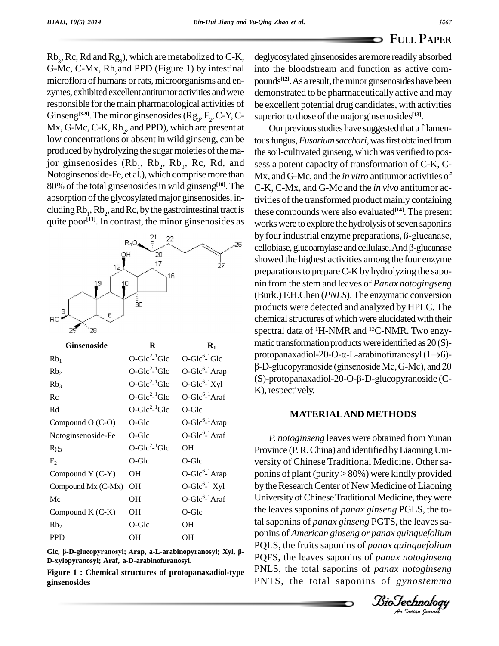$Rb_3$ , Rc, Rd and  $Rg_3$ ), which are metabolized to C-K, deg<br>G-Mc, C-Mx, Rh<sub>2</sub>and PPD (Figure 1) by intestinal int microflora of humans or rats, microorganisms and enzymes, exhibited excellent antitumor activities and were responsible for the main pharmacological activities of Ginseng<sup>[3-9]</sup>. The minor ginsenosides  $(Rg_3, F_2, C-Y, C-$  sup  $Mx$ , G-Mc, C-K,  $Rh_2$ , and PPD), which are present at low concentrations or absent in wild ginseng, can be produced by hydrolyzing the sugar moieties of the major ginsenosides  $(Rb_1, Rb_2, Rb_3, Rc, Rd, and sess a_1)$ Notoginsenoside-Fe, et al.), which comprise more than 80% of the total ginsenosides in wild ginseng<sup>[10]</sup>. The C-K, absorption of the glycosylated major ginsenosides, including  $Rb_1$ ,  $Rb_2$ , and Rc, by the gastrointestinal tract is these quite poor<sup>[11]</sup>. In contrast, the minor ginsenosides as <sub>work</sub>



| <b>Ginsenoside</b>     | R              | $\mathbf{R}_1$                         |
|------------------------|----------------|----------------------------------------|
| $Rb_1$                 | $O-Glc2-1Glc$  | $O-Glc6-1Glc$                          |
| Rb <sub>2</sub>        | $O-Glc2$ -'Glc | $O-Glc6-1 Arap$                        |
| $Rb_3$                 | $O-Glc2-1Glc$  | $O-Glc6-1 Xyl$                         |
| Re                     | $O-Glc2-1Glc$  | $O-Glc6-1 Araf$                        |
| Rd                     | $O-Glc2-1Glc$  | $O$ -Glc                               |
| Compound O (C-O)       | O-Glc          | O-Glc $^{6}$ - <sup>1</sup> Arap       |
| Notoginsenoside-Fe     | O-Glc          | $O-Glc6-1 Araf$                        |
| Rg <sub>3</sub>        | $O-Glc2-1Glc$  | <b>OH</b>                              |
| F <sub>2</sub>         | O-Glc          | O-Glc                                  |
| Compound Y (C-Y)       | OН             | O-Glc <sup>6</sup> - <sup>1</sup> Arap |
| Compound Mx (C-Mx)     | <b>OH</b>      | O-Glc $^{6}$ - <sup>1</sup> Xyl        |
| Mc                     | OН             | $O-Glc6-1 Araf$                        |
| Compound $K$ (C- $K$ ) | OН             | O-Glc                                  |
| Rh <sub>2</sub>        | O-Glc          | OН                                     |
| <b>PPD</b>             | OН             | OН                                     |

**Glc, '-D-glucopyranosyl; Arap, a-L-arabinopyranosyl; Xyl, '- D-xylopyranosyl; Araf, a-D-arabinofuranosyl.**

**Figure 1 : Chemical structures of protopanaxadiol-type ginsenosides**

deglycosylated ginsenosides aremore readilyabsorbed into the bloodstream and function as active com pounds<sup>[12]</sup>. As a result, the minor ginsenosides have been demonstrated to be pharmaceutically active and may be excellent potential drug candidates, with activities superior to those of the major ginsenosides<sup>[13]</sup>.

Our previous studies have suggested that a filamentous fungus, *Fusarium sacchari*, was first obtained from the soil-cultivated ginseng, which was verified to pos sess a potent capacity of transformation of C-K, C- Mx, and G-Mc, and the *in vitro* antitumor activities of C-K, C-Mx, and G-Mc and the *in vivo* antitumor activities of the transformed product mainly containing these compounds were also evaluated **[14]**.The present works were to explore the hydrolysis of seven saponins these compounds were also evaluated<sup>[14]</sup>. The present<br>works were to explore the hydrolysis of seven saponins<br>by four industrial enzyme preparations, ß-glucanase, works were to explore the hydrolysis of seven saponins<br>by four industrial enzyme preparations,  $\beta$ -glucanase,<br>cellobiase, glucoamylase and cellulase. And  $\beta$ -glucanase showed the highest activities among the four enzyme preparations to prepare C-K by hydrolyzing the saponin from the stem and leaves of *Panax notogingseng* (Burk.) F.H.Chen (*PNLS*).The enzymatic conversion products were detected and analyzed by HPLC. The chemical structures of which were elucidated with their spectral data of <sup>1</sup>H-NMR and <sup>13</sup>C-NMR. Two enzy matic transformation products were identified as  $20(S)$ spectral data of <sup>1</sup>H-NMR and <sup>13</sup>C-NMR. Two enzy-<br>matic transformation products were identified as 20 (S)-<br>protopanaxadiol-20-O-α-L-arabinofuranosyl (1→6)broducts were identified as 20 (S)-<br>O- $\alpha$ -L-arabinofuranosyl (1 $\rightarrow$ 6)-<br>(ginsenoside Mc, G-Mc), and 20  $\beta$ -D-glucopyranoside (ginsenoside Mc, G-Mc), and 20 (S)-protopanaxadiol-20-O- $\beta$ -D-glucopyranoside (C-K), respectively.

## **MATERIALAND METHODS**

the leaves saponins of *panax* ginseng PGLS, the to-*An*PQLS, the fruits saponins of *panax quinquefolium P. notoginseng* leaves were obtained fromYunan Province (P.R.China) and identified by Liaoning University of Chinese Traditional Medicine. Other sa ponins of plant (purity > 80%) were kindly provided by the Research Center of New Medicine of Liaoning UniversityofChineseTraditional Medicine, theywere tal saponins of *panax ginseng* PGTS, the leaves sa ponins of *American ginseng or panax quinquefolium* PQFS, the leaves saponins of *panax notoginseng* PNLS, the total saponins of *panax notoginseng* PNTS, the total saponins of *gynostemma*

*Indian Journal*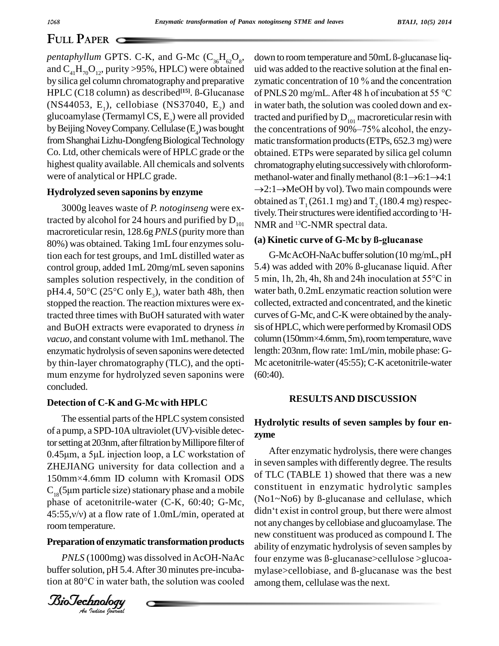## **FULL PAPER**

*pentaphyllum* GPTS. C-K, and G-Mc  $(C_{36}H_{62}O_8,$ and  $C_{41}H_{70}O_{12}$ , purity >95%, HPLC) were obtained uid was<br>by silica gel column chromatography and preparative zymati<br>HPLC (C18 column) as described<sup>[15]</sup>. ß-Glucanase of PNL by silica gel column chromatography and preparative zymatic concentration of 10 % and the concentration  $HPLC$  (C18 column) as described<sup>[15]</sup>. B-Glucanase (NS44053, E<sub>1</sub>), cellobiase (NS37040, E<sub>2</sub>) and glucoamylase (Termamyl CS,  $E_3$ ) were all provided tracted and purified by  $D_{101}$  macroreticular resin with by Beijing Novey Company. Cellulase ( $E_4$ ) was bought the concentrations of 90%–75% alcohol, the enzyby Beijing Novey Company. Cellulase  $(E_4)$  was bought from Shanghai Lizhu-Dongfeng Biological Technology matic transformation products (ETPs, 652.3 mg) were Co. Ltd, other chemicals were of HPLC grade or the highest quality available.All chemicals and solvents were of analytical or HPLC grade.

#### **Hydrolyzed seven saponins by enzyme**

3000g leaves waste of *P. notoginseng* were extracted by alcohol for 24 hours and purified by  $D_{101}$ macroreticular resin, 128.6g *PNLS* (puritymore than 80%) was obtained. Taking 1mL four enzymes solution each for test groups, and 1mL distilled water as control group, added 1mL 20mg/mL seven saponins samples solution respectively, in the condition of 5 m control group, added 1mL 20mg/mL seven saponins 5.4) was<br>samples solution respectively, in the condition of 5 min,<br>pH4.4, 50°C (25°C only E<sub>3</sub>), water bath 48h, then water b stopped the reaction. The reaction mixtures were extracted three times with BuOH saturated with water and BuOH extracts were evaporated to dryness *in vacuo*, and constant volume with 1mL methanol. The column (150mm×4.6mm, 5m), room temperature, wave enzymatic hydrolysis of seven saponins were detected by thin-layer chromatography (TLC), and the opti mum enzyme for hydrolyzed seven saponins were concluded.

## **Detection of C-K and G-Mc with HPLC**

biase of acetomic<br> $45:55,v/v$  at a flow The essential parts of the HPLC system consisted of a pump, a SPD-10A ultraviolet(UV)-visible detector setting at 203nm, after filtration by Millipore filter of  $0.45\mu$ m, a  $5\mu$ L injection loop, a LC workstation of ZHEJIANG university for data collection and a  $\frac{10 \text{ sec}}{100}$ 0.45µm, a 5µL injection loop, a LC workstation of<br>
ZHEJIANG university for data collection and a in seven<br>
150mm×4.6mm ID column with Kromasil ODS of TLC ZHEJIANG university for data collection and a  $^{11}$  sev<br>150mm×4.6mm ID column with Kromasil ODS of TL<br>C<sub>18</sub>(5µm particle size) stationary phase and a mobile const  $C_{18}(5\mu m$  particle size) stationary phase and a mobile room temperature.

## *An***Preparation of enzymatic transformation products**

*In water bath, the solution was cooled*<br>*BioTechnology*<br>*<i>An Indian Sournal* buffer solution, pH 5.4. After 30 minutes pre-incuba-PNLS (1000mg) was dissolved in AcOH-NaAc four er<br>buffer solution, pH 5.4. After 30 minutes pre-incuba-<br>tion at 80°C in water bath, the solution was cooled among

,<br>down to room temperature and 50mL ß-glucanase liquid was added to the reactive solution at the final en down to room temperature and 50mL ß-glucanase liq-<br>uid was added to the reactive solution at the final en-<br>zymatic concentration of 10 % and the concentration of PNLS 20 mg/mL. After 48 h of incubation at 55  $^{\circ}$ C in water bath, the solution was cooled down and extracted and purified by  ${\rm D}_{_{101}}$  macroreticular resin with in water bath, the solution was cooled down and ex-<br>tracted and purified by  $D_{101}$  macroreticular resin with<br>the concentrations of 90%–75% alcohol, the enzytracted and purified by  $D_{101}$  macroreticular resin with<br>the concentrations of 90%–75% alcohol, the enzy-<br>matic transformation products (ETPs, 652.3 mg) were obtained. ETPs were separated by silica gel column chromatographyelutingsuccessivelywith chloroform obtained. ETPs were separated by silica gel column<br>chromatography eluting successively with chloroform-<br>methanol-water and finally methanol  $(8:1 \rightarrow 6:1 \rightarrow 4:1$  $ch$ methanol-water and finally methanol  $(8:1 \rightarrow 6:1 \rightarrow 4:1 \rightarrow 2:1 \rightarrow \text{MeOH}$  by vol). Two main compounds were obtained as  $T_1$  (261.1 mg) and  $T_2$  (180.4 mg) respectively. Their structures were identified according to <sup>1</sup>H-NMR and <sup>13</sup>C-NMR spectral data.

#### **(a) Kinetic curve of G-Mc by fl-glucanase**

G-McAcOH-NaAcbuffersolution(10 mg/mL,pH (a) Kinetic curve of G-Mc by B-glucanase<br>G-McAcOH-NaAc buffer solution (10 mg/mL, pH<br>5.4) was added with 20% B-glucanase liquid. After G-McAcOH-NaAc buffer solution (10 mg/mL, pH<br>5.4) was added with 20% B-glucanase liquid. After<br>5 min, 1h, 2h, 4h, 8h and 24h inoculation at 55°C in water bath, 0.2mLenzymatic reaction solution were collected, extracted and concentrated, and the kinetic curves of G-Mc, and C-K were obtained by the analysis of HPLC, which were performed by Kromasil ODS curves of G-Mc, and C-K were obtained by the analy-<br>sis of HPLC, which were performed by Kromasil ODS<br>column (150mm×4.6mm, 5m), room temperature, wave length: 203nm, flow rate: 1mL/min, mobile phase: G-Mc acetonitrile-water (45:55); C-K acetonitrile-water  $(60:40)$ .

## **RESULTSAND DISCUSSION**

## **Hydrolytic results of seven samples by four en zyme**

phase of acetonitrile-water (C-K, 60:40; G-Mc,  $^{(NO1 \sim NO0)}$  by b-glucanase and cellulase, which<br>45:55 y/y) at a flow rate of 1 0mL/min, operated at didn't exist in control group, but there were almost *PNLS* (1000mg) was dissolved in AcOH-NaAc four enzyme was ß-glucanase>cellulose >glucoa-After enzymatic hydrolysis, there were changes in seven samples with differently degree. The results of TLC (TABLE 1) showed that there was a new<br>constituent in enzymatic hydrolytic samples<br>(No1~No6) by ß-glucanase and cellulase, which constituent in enzymatic hydrolytic samples  $(Nol-No6)$  by B-glucanase and cellulase, which not anychanges by cellobiase and glucoamylase. The new constituent was produced as compound I. The ability of enzymatic hydrolysis of seven samples by new constituent was produced as compound I. The<br>ability of enzymatic hydrolysis of seven samples by<br>four enzyme was ß-glucanase>cellulose >glucoaability of enzymatic hydrolysis of seven samples by<br>four enzyme was ß-glucanase>cellulose >glucoa-<br>mylase>cellobiase, and ß-glucanase was the best among them, cellulase was the next.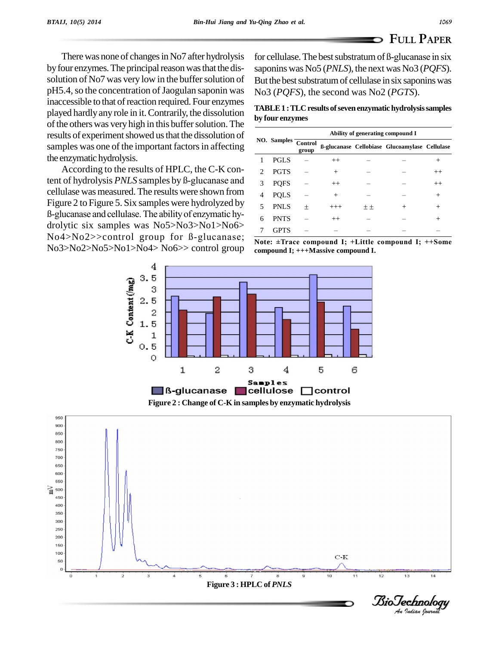There was none of changes in No7 after hydrolysis by four enzymes. The principal reason was that the dissolution of No7 was very low in the buffer solution of pH5.4, so the concentration of Jaogulan saponin was inaccessible to that of reaction required. Four enzymes played hardlyany role in it.Contrarily, the dissolution of the others was very high in this buffer solution. The results of experiment showed us that the dissolution of samples was one of the important factors in affecting the enzymatic hydrolysis.

According to the results of HPLC, the C-K content of hydrolysis *PNLS* samples by *ß*-glucanase and cellulase was measured. The results were shown from  $\frac{1}{4}$  pol s Figure 2 to Figure 5. Six samples were hydrolyzed by s measured. The results were shown from<br>  $\frac{4}{3}$  and cellulase. The ability of enzymatic hydrolytic six samples was No5>No3>No1>No6> B-glucanase and cellulase. The ability of enzymatic hydrolytic six samples was  $No5>No3>No1>No6>No4>No2>>control$  group for B-glucanase; No3>No2>No5>No1>No4> No6>> control group

for cellulase. The best substratum of  $\beta$ -glucanase in six saponins was No5 (*PNLS*), the next was No3 (*PQFS*). But the best substratum of cellulase in six saponins was No3 (*PQFS*), the second was No2 (*PGTS*).

**TABLE1 :TLCresults ofsevenenzymatichydrolysissamples by four enzymes**

|   | NO. Samples | Ability of generating compound I |          |       |                                               |         |  |
|---|-------------|----------------------------------|----------|-------|-----------------------------------------------|---------|--|
|   |             | Control<br>group                 |          |       | ß-glucanase Cellobiase Glucoamylase Cellulase |         |  |
|   | <b>PGLS</b> |                                  | $^{++}$  |       |                                               | $^+$    |  |
| 2 | <b>PGTS</b> |                                  | $^{+}$   |       |                                               | $^{++}$ |  |
| 3 | <b>PQFS</b> |                                  | $^{++}$  |       |                                               | $^{++}$ |  |
| 4 | <b>PQLS</b> |                                  | $^{+}$   |       |                                               | $^{+}$  |  |
| 5 | <b>PNLS</b> | $^{+}$                           | $^{+++}$ | $+ +$ | $^{+}$                                        | $^{+}$  |  |
| 6 | <b>PNTS</b> |                                  | $^{++}$  |       |                                               | $^{+}$  |  |
|   | <b>GPTS</b> |                                  |          |       |                                               |         |  |

**Note: ±Trace compound I; +Little compound I; ++Some compound I; +++Massive compound I.**



**Figure 2 : Change of C-K in samples by enzymatic hydrolysis**

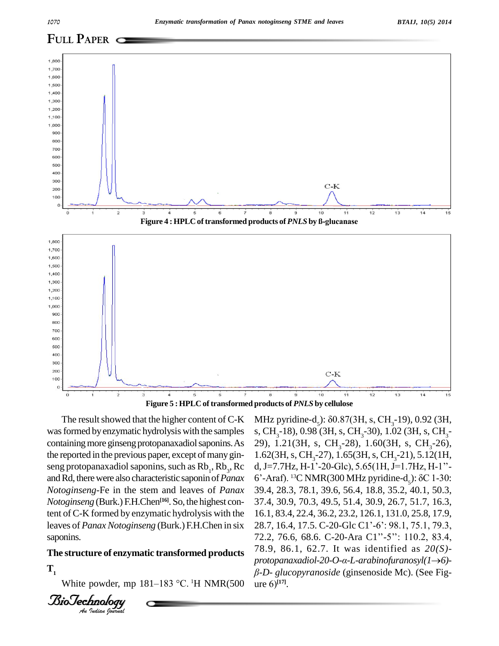

 $B_1$  is a general point of C-K formed by enzymatic hydrolysis with the  $B_1$ , *An*containing more ginseng protopanaxadiol saponins. As the reported in the previous paper, except of many ginseng protopanaxadiol saponins, such as  $Rb_1$ ,  $Rb_3$ ,  $Rc$ *Notoginseng*-Fe in the stem and leaves of *Panax Notoginseng* (Burk.) F.H.Chen **[16]**. So, the highest conleaves of *Panax Notoginseng* (Burk.) F.H.Chen in six saponins.

# **The structure of enzymatic transformed products**

 $\mathbf{T}_1$ 

White powder, mp  $181-183$  °C. <sup>1</sup>H NMR(500

*Indian Journal*

The result showed that the higher content of C-K MHz pyridine-d<sub>s</sub>):  $\delta 0.87(3H, s, CH<sub>3</sub>-19)$ , 0.92 (3H, was formed by enzymatic hydrolysis with the samples  $s, CH<sub>3</sub>-18$ , 0.98 (3H, s, CH<sub>3</sub>-30), 1.02 (3H, s, CH<sub>3</sub>d, J=7.7Hz, H-1'-20-Glc),  $5.65(1H, J=1.7Hz, H-1$ "and Rd, there were also characteristic saponin of *Panax* 6'-Araf). <sup>13</sup>C NMR(300 MHz pyridine-d<sub>s</sub>):  $\delta$ C 1-30: 29), 1.21(3H, s, CH<sub>3</sub>-28), 1.60(3H, s, CH<sub>3</sub>-26), 1.62(3H, s, CH<sub>3</sub>-27), 1.65(3H, s, CH<sub>3</sub>-21), 5.12(1H, 39.4, 28.3, 78.1, 39.6, 56.4, 18.8, 35.2, 40.1, 50.3, 37.4, 30.9, 70.3, 49.5, 51.4, 30.9, 26.7, 51.7, 16.3,<br>16.1, 83.4, 22.4, 36.2, 23.2, 126.1, 131.0, 25.8, 17.9,<br>28.7, 16.4, 17.5. C-20-Glc C1'-6': 98.1, 75.1, 79.3, 16.1, 83.4, 22.4, 36.2, 23.2, 126.1, 131.0, 25.8, 17.9, 28.7, 16.4, 17.5. C-20-Glc C1'-6': 98.1, 75.1, 79.3, 72.2, 76.6, 68.6. C-20-Ara C1"-5": 110.2, 83.4, 78.9, 86.1, 62.7. It was identified as *20(S) p pz*<sub>2</sub>, 76.6, 68.6. C-20-Ara C1"-5": 110.2, 83.4, 78.9, 86.1, 62.7. It was identified as 20(*S*)-<br>*protopanaxadiol-20-O-α-L-arabinofuranosyl(1→6)--D- glucopyranoside* (ginsenoside Mc). (See Fig protopanaxadiol-20-O-a-L-arabinofuranosyl $(1\rightarrow 6)$ - $\mu$ re  $6$ <sup>[17]</sup>.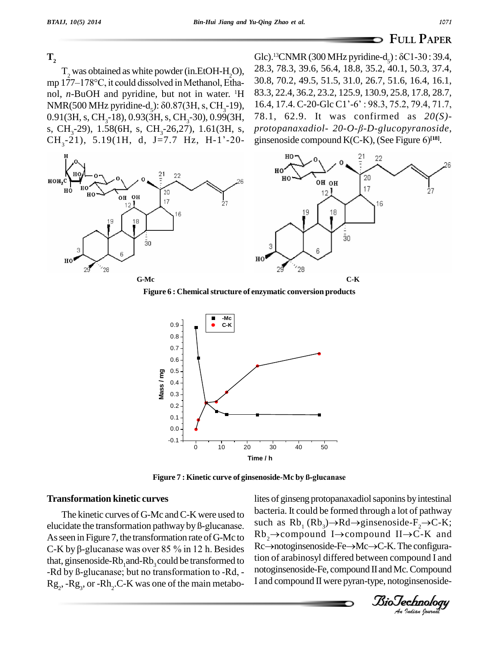**FULL PAPER**

## $\mathbf{T}_2$

 $T_2$ <br>T<sub>2</sub> was obtained as white powder (in.EtOH-H<sub>2</sub>O), 28.<br>mp 177–178°C, it could dissolved in Methanol, Etha- 30.8 nol, *n*-BuOH and pyridine, but not in water. <sup>1</sup>H mp 177–178°C, it could dissolved in Methanol, Etha-<br>nol, *n*-BuOH and pyridine, but not in water. <sup>1</sup>H 83.<br>NMR(500 MHz pyridine-d<sub>5</sub>):  $\delta 0.87(3H, s, CH_3-19)$ , 16.4<br>0.91(3H, s, CH<sub>3</sub>-18), 0.93(3H, s, CH<sub>3</sub>-30), 0.99(3H, 78



Glc).<sup>13</sup>CNMR (300 MHz pyridine-d<sub>5</sub>):  $\delta$ C1-30: 39.4, 28.3, 78.3, 39.6, 56.4, 18.8, 35.2, 40.1, 50.3, 37.4, 30.8, 70.2, 49.5, 51.5, 31.0, 26.7, 51.6, 16.4, 16.1,<br>83.3, 22.4, 36.2, 23.2, 125.9, 130.9, 25.8, 17.8, 28.7,<br>16.4, 17.4. C-20-Glc C1'-6' : 98.3, 75.2, 79.4, 71.7, 83.3, 22.4, 36.2, 23.2, 125.9, 130.9, 25.8, 17.8, 28.7, 78.1, 62.9. It was confirmed as *20(S) p*<sub>1</sub>, *p*<sub>1</sub>, *p*<sub>2</sub>, *p*<sub>2</sub>, *p*<sub>2</sub>, *p*<sub>2</sub>, *p*<sub>2</sub>, *p*<sub>2</sub>, *p*<sub>2</sub>, *p*<sub>2</sub>, *p*<sub>2</sub>, *p*<sub>7</sub>, *p*<sub>2</sub>, *p*<sub>7</sub>, *p*<sub>7</sub>*d*<sub>*p*</sub>*notopanaxadiol*- *20*-*O*-*β*-*D*-*glucopyranoside*, 78.1, 62.9. It was confirmed as  $20(S)$ -<br>protopanaxadiol-  $20$ - $O$ - $\beta$ - $D$ -glucopyranoside,<br>ginsenoside compound K(C-K), (See Figure 6)<sup>[18]</sup>. ginsenoside compound  $K(C-K)$ , (See Figure 6)<sup>[18]</sup>.



**Figure 6 : Chemical structure of enzymatic conversion products** 

H



**Figure <sup>7</sup> : Kinetic curve of ginsenoside-Mc by fl-glucanase**

## **Transformation kinetic curves**

elucidate the transformation pathway by B-glucanase. As seen in Figure 7, the transformation rate of G-Mc to  $K_0^{\mathbb{R}} \rightarrow$ elucidate the transformation pathway by B-glucanase. Such<br>As seen in Figure 7, the transformation rate of G-Mc to Rb<sub>2</sub>-<br>C-K by β-glucanase was over 85 % in 12 h. Besides Rc that, ginsenoside-Rb<sub>1</sub>and-Rb<sub>3</sub> could be transformed to tion of C-K by  $\beta$ -glucanase was over 85 % in 12 h. Besides<br>that, ginsenoside-Rb<sub>1</sub> and-Rb<sub>3</sub> could be transformed to tion<br>-Rd by  $\beta$ -glucanase; but no transformation to -Rd, - $\text{Rg}_2$ , - $\text{Rg}_3$ , or - $\text{Rh}_2$ .C-K was one of the main metabo-

bacteria. It could be formed through a lot of pathway Rc→notoginsenoside-Fe→Mc→C-K. The configura-The kinetic curves of G-Mc and C-K were used to<br>vidate the transformation pathway by B-glucanase<br>such as  $Rb_1(Rb_3) \rightarrow Rd \rightarrow$ ginsenoside- $F_2 \rightarrow C-K$ ; lites of ginseng protopanaxadiol saponins by intestinal lites of ginseng protopanaxadiol saponins by intestinal<br>bacteria. It could be formed through a lot of pathway<br>such as  $Rb_1 (Rb_3) \rightarrow Rd \rightarrow ginsenoside-F_2 \rightarrow C-K;$ bacteria. It could be formed through a lot of pathway<br>such as  $Rb_1 (Rb_3) \rightarrow Rd \rightarrow ginsenoside-F_2 \rightarrow C-K;$ <br> $Rb_2 \rightarrow compound$  I $\rightarrow compound$  II $\rightarrow C-K$  and  $Rb$ <sub>2</sub> $\rightarrow$ compound I $\rightarrow$ compound II $\rightarrow$ C-K and tion of arabinosyl differed between compound I and notoginsenoside-Fe, compound II and Mc. Compound I and compound IIwere pyran-type, notoginsenoside-

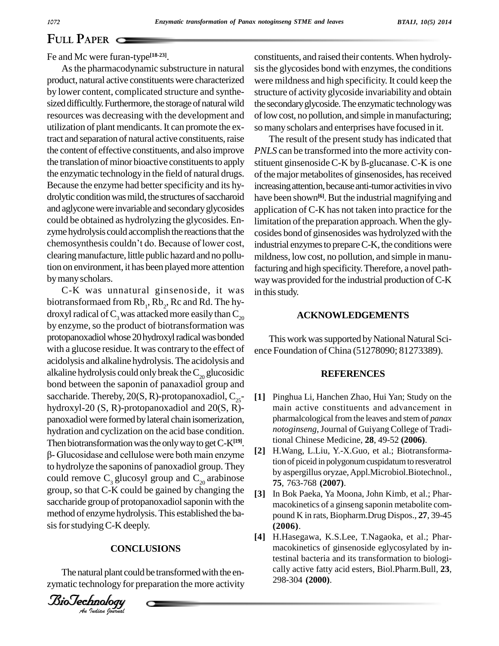# **FULL PAPER**

Fe and Mc were furan-type **[18-23]**.

Asthe pharmacodynamic substructure in natural product, natural active constituents were characterized by lower content, complicated structure and synthe sized difficultly. Furthermore, the storage of natural wild resources was decreasing with the development and utilization of plant mendicants.It can promote the extract and separation of natural active constituents, raise the content of effective constituents, and also improve the translation of minor bioactive constituents to apply the enzymatic technology in the field of natural drugs. Because the enzyme had better specificity and its hydrolytic condition was mild, the structures of saccharoid and aglycone were invariable and secondary glycosides could be obtained as hydrolyzing the glycosides. En zyme hydrolysis could accomplish the reactions that the coside could be obtained as hydrolyzing the glycosides. En-<br>zyme hydrolysis could accomplish the reactions that the<br>chemosynthesis couldn't do. Because of lower cost, clearing manufacture, little public hazard and no pollution on environment, it has been played more attention bymanyscholars.

sacchanoe group of protopanoxadior saponin with the<br>method of enzyme hydrolysis. This established the ba-C-K was unnatural ginsenoside, it was biotransformaed from  $Rb_1$ ,  $Rb_2$ ,  $Rc$  and  $Rd$ . The hydroxyl radical of  $C_3$  was attacked more easily than  $C_{20}$ by enzyme, so the product of biotransformation was protopanoxadiol whose 20 hydroxyl radical was bonded with a glucose residue. It was contrary to the effect of acidolysis and alkaline hydrolysis. The acidolysis and alkaline hydrolysis could only break the  $C_{20}$  glucosidic bond between the saponin of panaxadiol group and saccharide. Thereby, 20(S, R)-protopanoxadiol,  $C_{25}$ - [1]<br>hydroxyl-20 (S, R)-protopanoxadiol and 20(S, R)panoxadiol were formed by lateral chain isomerization, hydration and cyclization on the acid base condition. hydration and cyclization on the acid base condition.<br>Then biotransformation was the only way to get C-K<sup>[19]</sup>.<br>6- Glucosidase and cellulose were both main enzyme [2] <sup>H</sup> to hydrolyze the saponins of panoxadiol group. They could remove  $C_3$  glucosyl group and  $C_{20}$  arabinose group, so that C-K could be gained by changing the  $\begin{bmatrix} 3 \end{bmatrix}$ saccharide group of protopanoxadiol saponin with the sis for studying C-K deeply.

#### **CONCLUSIONS**

The natural plant could be transformed with the enzymatic technology for preparation the more activity

*<i>BioTechnology*<br><sup>An Indian Journal</sup>

constituents, and raised their contents.When hydroly sisthe glycosides bond with enzymes, the conditions were mildness and high specificity. It could keep the structure of activityglycoside invariability and obtain the secondaryglycoside.The enzymatic technologywas of low cost, no pollution, and simple in manufacturing; so manyscholars and enterprises have focused in it.

The result of the present study has indicated that *PNLS* can be transformed into the more activity con stituent ginsenoside  $C-K$  by  $\beta$ -glucanase.  $C-K$  is one of the major metabolites of ginsenosides, has received increasing attention, because anti-tumor activities in vivo have been shown<sup>[6]</sup>. But the industrial magnifying and application of C-K has not taken into practice for the limitation of the preparation approach. When the glycosides bond of ginsenosides was hydrolyzedwith the industrial enzymes to prepare C-K, the conditions were mildness, low cost, no pollution, and simple in manufacturing and high specificity.Therefore, a novel path way was provided for the industrial production of C-K in this study.

#### **ACKNOWLEDGEMENTS**

This work was supported by National Natural Science Foundation ofChina (51278090; 81273389).

#### **REFERENCES**

- **[1]** Pinghua Li, Hanchen Zhao, Hui Yan; Study on the main active constituents and advancement in pharmalcological from the leaves and stem of *panax notoginseng*,Journal of Guiyang College of Traditional Chinese Medicine, **28**, 49-52 **(2006)**.
- **[2]** H.Wang, L.Liu, Y.-X.Guo, et al.; Biotransformation of piceid in polygonum cuspidatum to resveratrol by aspergillus oryzae,Appl.Microbiol.Biotechnol., **75**, 763-768 **(2007)**.
- **[3]** In Bok Paeka, Ya Moona, John Kimb, et al.; Phar macokinetics of a ginseng saponin metabolite com pound K in rats,Biopharm.Drug Dispos., **27**, 39-45 **(2006)**.
- **[4]** H.Hasegawa, K.S.Lee, T.Nagaoka, et al.; Phar macokinetics of ginsenoside eglycosylated by intestinal bacteria and its transformation to biologi cally active fatty acid esters, Biol.Pharm.Bull, **23**, 298-304 **(2000)**.